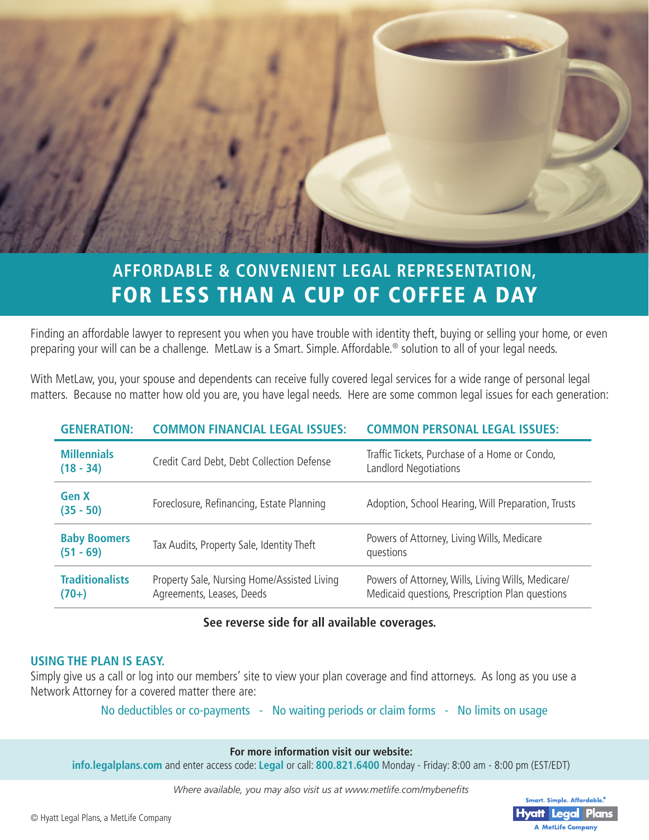

# **AFFORDABLE & CONVENIENT LEGAL REPRESENTATION,**  FOR LESS THAN A CUP OF COFFEE A DAY

Finding an affordable lawyer to represent you when you have trouble with identity theft, buying or selling your home, or even preparing your will can be a challenge. MetLaw is a Smart. Simple. Affordable.® solution to all of your legal needs.

With MetLaw, you, your spouse and dependents can receive fully covered legal services for a wide range of personal legal matters. Because no matter how old you are, you have legal needs. Here are some common legal issues for each generation:

| <b>GENERATION:</b>                 | <b>COMMON FINANCIAL LEGAL ISSUES:</b>                                    | <b>COMMON PERSONAL LEGAL ISSUES:</b>                                                                  |
|------------------------------------|--------------------------------------------------------------------------|-------------------------------------------------------------------------------------------------------|
| <b>Millennials</b><br>$(18 - 34)$  | Credit Card Debt, Debt Collection Defense                                | Traffic Tickets, Purchase of a Home or Condo,<br>Landlord Negotiations                                |
| <b>Gen X</b><br>$(35 - 50)$        | Foreclosure, Refinancing, Estate Planning                                | Adoption, School Hearing, Will Preparation, Trusts                                                    |
| <b>Baby Boomers</b><br>$(51 - 69)$ | Tax Audits, Property Sale, Identity Theft                                | Powers of Attorney, Living Wills, Medicare<br>questions                                               |
| <b>Traditionalists</b><br>$(70+)$  | Property Sale, Nursing Home/Assisted Living<br>Agreements, Leases, Deeds | Powers of Attorney, Wills, Living Wills, Medicare/<br>Medicaid questions, Prescription Plan questions |

#### **See reverse side for all available coverages.**

#### **USING THE PLAN IS EASY.**

Simply give us a call or log into our members' site to view your plan coverage and find attorneys. As long as you use a Network Attorney for a covered matter there are:

No deductibles or co-payments - No waiting periods or claim forms - No limits on usage

**For more information visit our website:**

**info.legalplans.com** and enter access code: **Legal** or call: **800.821.6400** Monday - Friday: 8:00 am - 8:00 pm (EST/EDT)

*Where available, you may also visit us at www.metlife.com/mybenefits*